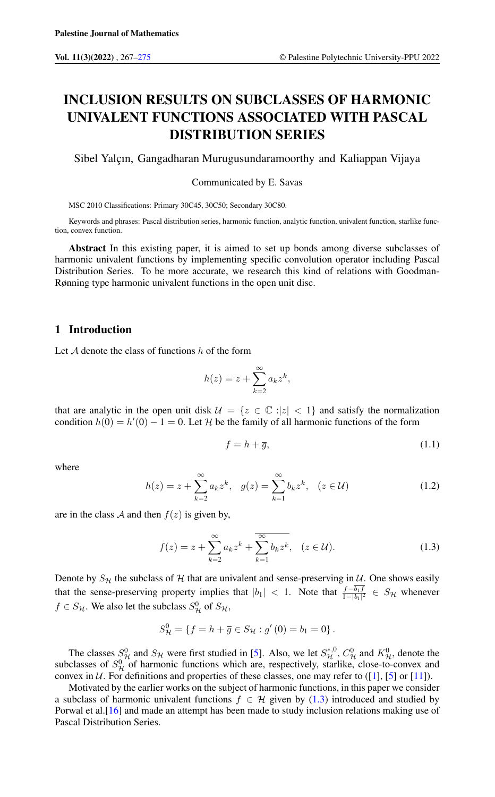# INCLUSION RESULTS ON SUBCLASSES OF HARMONIC UNIVALENT FUNCTIONS ASSOCIATED WITH PASCAL DISTRIBUTION SERIES

Sibel Yalçın, Gangadharan Murugusundaramoorthy and Kaliappan Vijaya

### Communicated by E. Savas

MSC 2010 Classifications: Primary 30C45, 30C50; Secondary 30C80.

Keywords and phrases: Pascal distribution series, harmonic function, analytic function, univalent function, starlike function, convex function.

Abstract In this existing paper, it is aimed to set up bonds among diverse subclasses of harmonic univalent functions by implementing specific convolution operator including Pascal Distribution Series. To be more accurate, we research this kind of relations with Goodman-Rønning type harmonic univalent functions in the open unit disc.

## 1 Introduction

Let  $A$  denote the class of functions  $h$  of the form

$$
h(z) = z + \sum_{k=2}^{\infty} a_k z^k,
$$

that are analytic in the open unit disk  $\mathcal{U} = \{z \in \mathbb{C} : |z| < 1\}$  and satisfy the normalization condition  $h(0) = h'(0) - 1 = 0$ . Let H be the family of all harmonic functions of the form

<span id="page-0-0"></span>
$$
f = h + \overline{g},\tag{1.1}
$$

<span id="page-0-1"></span>where

$$
h(z) = z + \sum_{k=2}^{\infty} a_k z^k, \quad g(z) = \sum_{k=1}^{\infty} b_k z^k, \quad (z \in \mathcal{U})
$$
 (1.2)

are in the class A and then  $f(z)$  is given by,

$$
f(z) = z + \sum_{k=2}^{\infty} a_k z^k + \overline{\sum_{k=1}^{\infty} b_k z^k}, \quad (z \in \mathcal{U}).
$$
 (1.3)

Denote by  $S_H$  the subclass of H that are univalent and sense-preserving in U. One shows easily that the sense-preserving property implies that  $|b_1| < 1$ . Note that  $\frac{f-b_1f}{1-|b_1|^2} \in S_H$  whenever  $f \in S_{\mathcal{H}}$ . We also let the subclass  $S_{\mathcal{H}}^{0}$  of  $S_{\mathcal{H}}$ ,

$$
S_{\mathcal{H}}^{0} = \{ f = h + \overline{g} \in S_{\mathcal{H}} : g'(0) = b_1 = 0 \}.
$$

The classes  $S_{\mu}^0$  and  $S_{\mu}$  were first studied in [\[5\]](#page-8-0). Also, we let  $S_{\mu}^{*,0}$ ,  $C_{\mu}^0$  and  $K_{\mu}^0$ , denote the subclasses of  $S_{\mathcal{H}}^{0}$  of harmonic functions which are, respectively, starlike, close-to-convex and convex in  $U$ . For definitions and properties of these classes, one may refer to ([\[1\]](#page-7-1), [\[5\]](#page-8-0) or [\[11\]](#page-8-1)).

Motivated by the earlier works on the subject of harmonic functions, in this paper we consider a subclass of harmonic univalent functions  $f \in \mathcal{H}$  given by [\(1.3\)](#page-0-0) introduced and studied by Porwal et al.[\[16\]](#page-8-2) and made an attempt has been made to study inclusion relations making use of Pascal Distribution Series.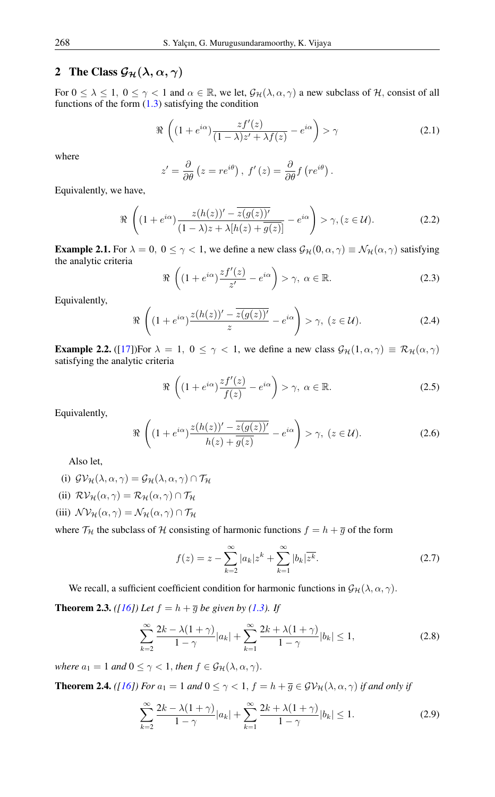# 2 The Class  $\mathcal{G}_{\mathcal{H}}(\lambda,\alpha,\gamma)$

For  $0 \le \lambda \le 1$ ,  $0 \le \gamma < 1$  and  $\alpha \in \mathbb{R}$ , we let,  $\mathcal{G}_{\mathcal{H}}(\lambda, \alpha, \gamma)$  a new subclass of H, consist of all functions of the form  $(1.3)$  satisfying the condition

$$
\Re\left((1+e^{i\alpha})\frac{zf'(z)}{(1-\lambda)z'+\lambda f(z)}-e^{i\alpha}\right)>\gamma\tag{2.1}
$$

where

$$
z' = \frac{\partial}{\partial \theta} (z = re^{i\theta}), \ f'(z) = \frac{\partial}{\partial \theta} f(re^{i\theta}).
$$

Equivalently, we have,

$$
\Re\left((1+e^{i\alpha})\frac{z(h(z))'-\overline{z(g(z))'}}{(1-\lambda)z+\lambda[h(z)+\overline{g(z)}]}-e^{i\alpha}\right)>\gamma,(z\in\mathcal{U}).
$$
\n(2.2)

<span id="page-1-2"></span>**Example 2.1.** For  $\lambda = 0$ ,  $0 \le \gamma < 1$ , we define a new class  $\mathcal{G}_{\mathcal{H}}(0, \alpha, \gamma) \equiv \mathcal{N}_{\mathcal{H}}(\alpha, \gamma)$  satisfying the analytic criteria

$$
\Re\left((1+e^{i\alpha})\frac{zf'(z)}{z'}-e^{i\alpha}\right)>\gamma,\ \alpha\in\mathbb{R}.\tag{2.3}
$$

Equivalently,

$$
\Re\left((1+e^{i\alpha})\frac{z(h(z))'-\overline{z(g(z))'}}{z}-e^{i\alpha}\right)>\gamma, \ (z\in\mathcal{U}).\tag{2.4}
$$

<span id="page-1-3"></span>**Example 2.2.** ([\[17\]](#page-8-3))For  $\lambda = 1$ ,  $0 \le \gamma < 1$ , we define a new class  $\mathcal{G}_{\mathcal{H}}(1, \alpha, \gamma) \equiv \mathcal{R}_{\mathcal{H}}(\alpha, \gamma)$ satisfying the analytic criteria

$$
\Re\left((1+e^{i\alpha})\frac{zf'(z)}{f(z)}-e^{i\alpha}\right)>\gamma,\ \alpha\in\mathbb{R}.\tag{2.5}
$$

Equivalently,

$$
\Re\left((1+e^{i\alpha})\frac{z(h(z))'-\overline{z(g(z))'}}{h(z)+\overline{g(z)}}-e^{i\alpha}\right)>\gamma, \ (z\in\mathcal{U}).
$$
\n(2.6)

Also let,

- (i)  $\mathcal{GV}_{\mathcal{H}}(\lambda,\alpha,\gamma)=\mathcal{G}_{\mathcal{H}}(\lambda,\alpha,\gamma)\cap\mathcal{T}_{\mathcal{H}}$
- (ii)  $\mathcal{RV}_{\mathcal{H}}(\alpha, \gamma) = \mathcal{R}_{\mathcal{H}}(\alpha, \gamma) \cap \mathcal{T}_{\mathcal{H}}$
- (iii)  $\mathcal{NV}_{\mathcal{H}}(\alpha, \gamma) = \mathcal{N}_{\mathcal{H}}(\alpha, \gamma) \cap \mathcal{T}_{\mathcal{H}}$

where  $\mathcal{T}_{\mathcal{H}}$  the subclass of H consisting of harmonic functions  $f = h + \overline{g}$  of the form

<span id="page-1-1"></span>
$$
f(z) = z - \sum_{k=2}^{\infty} |a_k| z^k + \sum_{k=1}^{\infty} |b_k| \overline{z^k}.
$$
 (2.7)

We recall, a sufficient coefficient condition for harmonic functions in  $\mathcal{G}_{\mathcal{H}}(\lambda, \alpha, \gamma)$ .

<span id="page-1-0"></span>**Theorem 2.3.** *([\[16\]](#page-8-2)) Let*  $f = h + \overline{g}$  *be given by [\(1.3\)](#page-0-0). If* 

$$
\sum_{k=2}^{\infty} \frac{2k - \lambda(1+\gamma)}{1-\gamma} |a_k| + \sum_{k=1}^{\infty} \frac{2k + \lambda(1+\gamma)}{1-\gamma} |b_k| \le 1,
$$
 (2.8)

*where*  $a_1 = 1$  *and*  $0 \leq \gamma < 1$ *, then*  $f \in \mathcal{G}_H(\lambda, \alpha, \gamma)$ *.* 

**Theorem 2.4.** *([\[16\]](#page-8-2))* For  $a_1 = 1$  and  $0 \le \gamma < 1$ ,  $f = h + \overline{g} \in \mathcal{GV}_{\mathcal{H}}(\lambda, \alpha, \gamma)$  *if and only if* 

$$
\sum_{k=2}^{\infty} \frac{2k - \lambda(1+\gamma)}{1-\gamma} |a_k| + \sum_{k=1}^{\infty} \frac{2k + \lambda(1+\gamma)}{1-\gamma} |b_k| \le 1.
$$
 (2.9)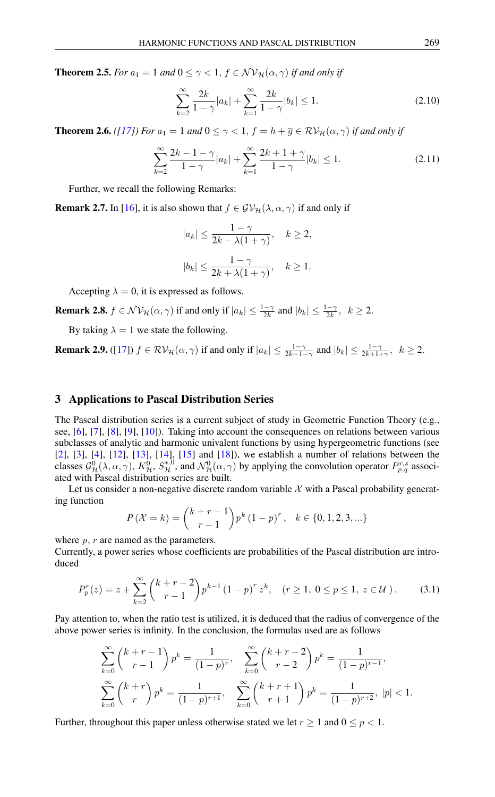**Theorem 2.5.** *For*  $a_1 = 1$  *and*  $0 \le \gamma < 1$ ,  $f \in \mathcal{NV}_{\mathcal{H}}(\alpha, \gamma)$  *if and only if* 

$$
\sum_{k=2}^{\infty} \frac{2k}{1-\gamma} |a_k| + \sum_{k=1}^{\infty} \frac{2k}{1-\gamma} |b_k| \le 1.
$$
 (2.10)

**Theorem 2.6.** *([\[17\]](#page-8-3))* For  $a_1 = 1$  and  $0 \le \gamma < 1$ ,  $f = h + \overline{g} \in \mathcal{RV}_{\mathcal{H}}(\alpha, \gamma)$  *if and only if* 

$$
\sum_{k=2}^{\infty} \frac{2k-1-\gamma}{1-\gamma} |a_k| + \sum_{k=1}^{\infty} \frac{2k+1+\gamma}{1-\gamma} |b_k| \le 1.
$$
 (2.11)

Further, we recall the following Remarks:

<span id="page-2-0"></span>**Remark 2.7.** In [\[16\]](#page-8-2), it is also shown that  $f \in \mathcal{GV}_{\mathcal{H}}(\lambda, \alpha, \gamma)$  if and only if

$$
|a_k| \le \frac{1 - \gamma}{2k - \lambda(1 + \gamma)}, \quad k \ge 2,
$$
  

$$
|b_k| \le \frac{1 - \gamma}{2k + \lambda(1 + \gamma)}, \quad k \ge 1.
$$

Accepting  $\lambda = 0$ , it is expressed as follows.

**Remark 2.8.**  $f \in \mathcal{NV}_{\mathcal{H}}(\alpha, \gamma)$  if and only if  $|a_k| \leq \frac{1-\gamma}{2k}$  and  $|b_k| \leq \frac{1-\gamma}{2k}$ ,  $k \geq 2$ .

By taking  $\lambda = 1$  we state the following.

**Remark 2.9.** ([\[17\]](#page-8-3))  $f \in \mathcal{RV}_{\mathcal{H}}(\alpha, \gamma)$  if and only if  $|a_k| \leq \frac{1-\gamma}{2k-1-\gamma}$  and  $|b_k| \leq \frac{1-\gamma}{2k+1+\gamma}$ ,  $k \geq 2$ .

# 3 Applications to Pascal Distribution Series

The Pascal distribution series is a current subject of study in Geometric Function Theory (e.g., see, [\[6\]](#page-8-4), [\[7\]](#page-8-5), [\[8\]](#page-8-6), [\[9\]](#page-8-7), [\[10\]](#page-8-8)). Taking into account the consequences on relations between various subclasses of analytic and harmonic univalent functions by using hypergeometric functions (see [\[2\]](#page-7-2), [\[3\]](#page-7-3), [\[4\]](#page-8-9), [\[12\]](#page-8-10), [\[13\]](#page-8-11), [\[14\]](#page-8-12), [\[15\]](#page-8-13) and [\[18\]](#page-8-14)), we establish a number of relations between the classes  $\mathcal{G}_{\mathcal{H}}^0(\lambda,\alpha,\gamma)$ ,  $K_{\mathcal{H}}^0$ ,  $S_{\mathcal{H}}^{*,0}$ , and  $\mathcal{N}_{\mathcal{H}}^0(\alpha,\gamma)$  by applying the convolution operator  $P_{p,q}^{r,s}$  associated with Pascal distribution series are built.

Let us consider a non-negative discrete random variable  $X$  with a Pascal probability generating function

$$
P(\mathcal{X} = k) = {k + r - 1 \choose r - 1} p^{k} (1 - p)^{r}, \quad k \in \{0, 1, 2, 3, ...\}
$$

where  $p, r$  are named as the parameters.

Currently, a power series whose coefficients are probabilities of the Pascal distribution are introduced

$$
P_p^r(z) = z + \sum_{k=2}^{\infty} {k+r-2 \choose r-1} p^{k-1} (1-p)^r z^k, \quad (r \ge 1, 0 \le p \le 1, z \in \mathcal{U}). \tag{3.1}
$$

Pay attention to, when the ratio test is utilized, it is deduced that the radius of convergence of the above power series is infinity. In the conclusion, the formulas used are as follows

$$
\sum_{k=0}^{\infty} {k+r-1 \choose r-1} p^k = \frac{1}{(1-p)^r}, \quad \sum_{k=0}^{\infty} {k+r-2 \choose r-2} p^k = \frac{1}{(1-p)^{r-1}},
$$
  

$$
\sum_{k=0}^{\infty} {k+r \choose r} p^k = \frac{1}{(1-p)^{r+1}}, \quad \sum_{k=0}^{\infty} {k+r+1 \choose r+1} p^k = \frac{1}{(1-p)^{r+2}}, \ |p| < 1.
$$

Further, throughout this paper unless otherwise stated we let  $r \geq 1$  and  $0 \leq p < 1$ .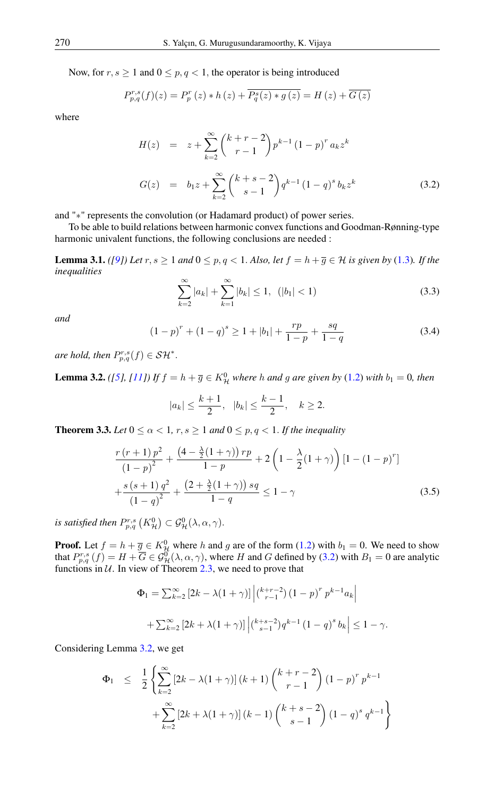Now, for  $r, s \ge 1$  and  $0 \le p, q < 1$ , the operator is being introduced

$$
P_{p,q}^{r,s}(f)(z) = P_p^r(z) * h(z) + \overline{P_q^s(z) * g(z)} = H(z) + \overline{G(z)}
$$

where

<span id="page-3-0"></span>
$$
H(z) = z + \sum_{k=2}^{\infty} {k+r-2 \choose r-1} p^{k-1} (1-p)^r a_k z^k
$$
  
\n
$$
G(z) = b_1 z + \sum_{k=2}^{\infty} {k+s-2 \choose s-1} q^{k-1} (1-q)^s b_k z^k
$$
\n(3.2)

and "∗" represents the convolution (or Hadamard product) of power series.

To be able to build relations between harmonic convex functions and Goodman-Rønning-type harmonic univalent functions, the following conclusions are needed :

**Lemma 3.1.** *([\[9\]](#page-8-7)) Let*  $r, s \ge 1$  *and*  $0 \le p, q \le 1$ *. Also, let*  $f = h + \overline{q} \in H$  *is given by* [\(1.3\)](#page-0-0)*. If the inequalities*

$$
\sum_{k=2}^{\infty} |a_k| + \sum_{k=1}^{\infty} |b_k| \le 1, \ \ (|b_1| < 1) \tag{3.3}
$$

*and*

$$
(1-p)^{r} + (1-q)^{s} \ge 1 + |b_1| + \frac{rp}{1-p} + \frac{sq}{1-q}
$$
 (3.4)

*are hold, then*  $P_{p,q}^{r,s}(f) \in \mathcal{SH}^*$ .

<span id="page-3-1"></span>**Lemma 3.2.** *(*[\[5\]](#page-8-0), [\[11\]](#page-8-1)) If  $f = h + \overline{g} \in K_H^0$  where h and g are given by [\(1.2\)](#page-0-1) with  $b_1 = 0$ , then

$$
|a_k| \le \frac{k+1}{2}
$$
,  $|b_k| \le \frac{k-1}{2}$ ,  $k \ge 2$ .

<span id="page-3-2"></span>**Theorem 3.3.** *Let*  $0 \le \alpha < 1$ ,  $r, s \ge 1$  *and*  $0 \le p, q < 1$ *. If the inequality* 

$$
\frac{r(r+1) p^2}{(1-p)^2} + \frac{\left(4 - \frac{\lambda}{2}(1+\gamma)\right) rp}{1-p} + 2\left(1 - \frac{\lambda}{2}(1+\gamma)\right) \left[1 - (1-p)^r\right] + \frac{s\left(s+1\right) q^2}{\left(1-q\right)^2} + \frac{\left(2 + \frac{\lambda}{2}(1+\gamma)\right) sq}{1-q} \le 1-\gamma
$$
\n(3.5)

*is satisfied then*  $P_{p,q}^{r,s}\left(K_{\mathcal{H}}^{0}\right) \subset \mathcal{G}_{\mathcal{H}}^{0}(\lambda,\alpha,\gamma).$ 

**Proof.** Let  $f = h + \overline{g} \in K_H^0$  where h and g are of the form [\(1.2\)](#page-0-1) with  $b_1 = 0$ . We need to show that  $P_{p,q}^{r,s}(f) = H + \overline{G} \in \mathcal{G}_{\mathcal{H}}^{0}(\lambda,\alpha,\gamma)$ , where H and G defined by [\(3.2\)](#page-3-0) with  $B_1 = 0$  are analytic functions in  $U$ . In view of Theorem [2.3,](#page-1-0) we need to prove that

$$
\Phi_1 = \sum_{k=2}^{\infty} \left[ 2k - \lambda (1 + \gamma) \right] \left| \binom{k+r-2}{r-1} (1-p)^r p^{k-1} a_k \right|
$$
  
+ 
$$
\sum_{k=2}^{\infty} \left[ 2k + \lambda (1 + \gamma) \right] \left| \binom{k+s-2}{s-1} q^{k-1} (1-q)^s b_k \right| \le 1 - \gamma.
$$

Considering Lemma [3.2,](#page-3-1) we get

$$
\Phi_1 \leq \frac{1}{2} \left\{ \sum_{k=2}^{\infty} \left[ 2k - \lambda(1+\gamma) \right] (k+1) \binom{k+r-2}{r-1} (1-p)^r p^{k-1} + \sum_{k=2}^{\infty} \left[ 2k + \lambda(1+\gamma) \right] (k-1) \binom{k+s-2}{s-1} (1-q)^s q^{k-1} \right\}
$$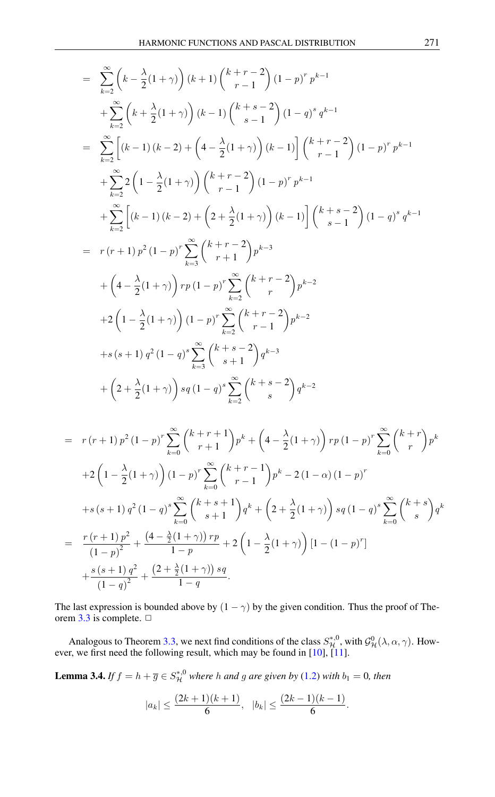$$
= \sum_{k=2}^{\infty} \left(k - \frac{\lambda}{2}(1+\gamma)\right)(k+1)\binom{k+r-2}{r-1}(1-p)^{r}p^{k-1} + \sum_{k=2}^{\infty} \left(k + \frac{\lambda}{2}(1+\gamma)\right)(k-1)\binom{k+s-2}{s-1}(1-q)^{s}q^{k-1} = \sum_{k=2}^{\infty} \left[(k-1)(k-2) + \left(4 - \frac{\lambda}{2}(1+\gamma)\right)(k-1)\right]\binom{k+r-2}{r-1}(1-p)^{r}p^{k-1} + \sum_{k=2}^{\infty} 2\left(1 - \frac{\lambda}{2}(1+\gamma)\right)\binom{k+r-2}{r-1}(1-p)^{r}p^{k-1} + \sum_{k=2}^{\infty} \left[(k-1)(k-2) + \left(2 + \frac{\lambda}{2}(1+\gamma)\right)(k-1)\right]\binom{k+s-2}{s-1}(1-q)^{s}q^{k-1} = r(r+1)p^{2}(1-p)^{r} \sum_{k=3}^{\infty} \binom{k+r-2}{r+1}p^{k-3} + \left(4 - \frac{\lambda}{2}(1+\gamma)\right)rp(1-p)^{r} \sum_{k=2}^{\infty} \binom{k+r-2}{r-1}p^{k-2} + 2\left(1 - \frac{\lambda}{2}(1+\gamma)\right)(1-p)^{r} \sum_{k=2}^{\infty} \binom{k+r-2}{r-1}p^{k-2} + s(s+1)q^{2}(1-q)^{s} \sum_{k=3}^{\infty} \binom{k+s-2}{s+1}q^{k-3} + \left(2 + \frac{\lambda}{2}(1+\gamma)\right)sq(1-q)^{s} \sum_{k=3}^{\infty} \binom{k+s-2}{s}q^{k-2}
$$

$$
= r(r+1) p^{2} (1-p)^{r} \sum_{k=0}^{\infty} {k+r+1 \choose r+1} p^{k} + \left(4 - \frac{\lambda}{2} (1+\gamma)\right) r p (1-p)^{r} \sum_{k=0}^{\infty} {k+r \choose r} p^{k}
$$
  
+2\left(1 - \frac{\lambda}{2} (1+\gamma)\right) (1-p)^{r} \sum\_{k=0}^{\infty} {k+r-1 \choose r-1} p^{k} - 2 (1-\alpha) (1-p)^{r}  
+s(s+1) q^{2} (1-q)^{s} \sum\_{k=0}^{\infty} {k+s+1 \choose s+1} q^{k} + \left(2 + \frac{\lambda}{2} (1+\gamma)\right) s q (1-q)^{s} \sum\_{k=0}^{\infty} {k+s \choose s} q^{k}  
= \frac{r(r+1) p^{2}}{(1-p)^{2}} + \frac{(4 - \frac{\lambda}{2} (1+\gamma)) rp}{1-p} + 2 \left(1 - \frac{\lambda}{2} (1+\gamma)\right) [1 - (1-p)^{r}]  
+ \frac{s(s+1) q^{2}}{(1-q)^{2}} + \frac{(2 + \frac{\lambda}{2} (1+\gamma)) sq}{1-q}.

The last expression is bounded above by  $(1 - \gamma)$  by the given condition. Thus the proof of The-orem [3.3](#page-3-2) is complete.  $\Box$ 

Analogous to Theorem [3.3,](#page-3-2) we next find conditions of the class  $S_{\cal H}^{*,0}$ , with  $\mathcal{G}_{\cal H}^0(\lambda,\alpha,\gamma)$ . How-ever, we first need the following result, which may be found in [\[10\]](#page-8-8), [\[11\]](#page-8-1).

<span id="page-4-0"></span>**Lemma 3.4.** If  $f = h + \overline{g} \in S_{\mathcal{H}}^{*,0}$  where h and g are given by [\(1.2\)](#page-0-1) with  $b_1 = 0$ , then

$$
|a_k| \le \frac{(2k+1)(k+1)}{6}, \quad |b_k| \le \frac{(2k-1)(k-1)}{6}.
$$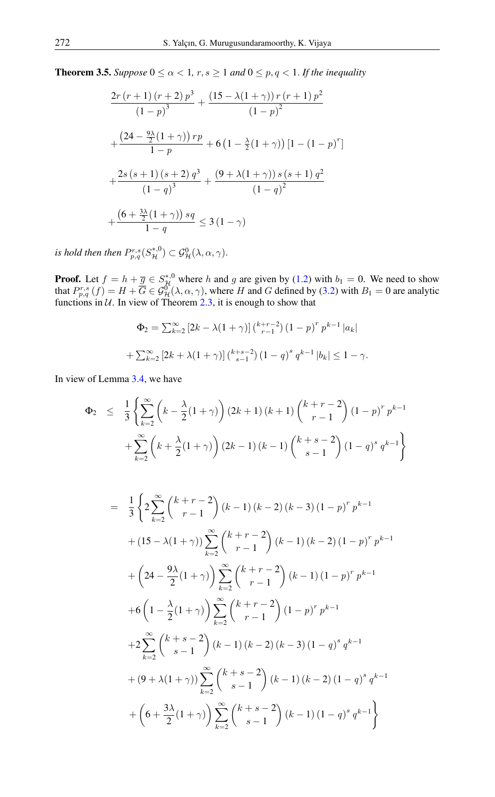**Theorem 3.5.** *Suppose*  $0 \le \alpha < 1$ ,  $r, s \ge 1$  *and*  $0 \le p, q < 1$ *. If the inequality* 

$$
\frac{2r(r+1)(r+2) p^3}{(1-p)^3} + \frac{(15 - \lambda(1+\gamma)) r(r+1) p^2}{(1-p)^2}
$$

$$
+ \frac{(24 - \frac{9\lambda}{2}(1+\gamma)) rp}{1-p} + 6\left(1 - \frac{\lambda}{2}(1+\gamma)\right)\left[1 - (1-p)^r\right]
$$

$$
+ \frac{2s(s+1)(s+2) q^3}{(1-q)^3} + \frac{(9 + \lambda(1+\gamma)) s(s+1) q^2}{(1-q)^2}
$$

$$
+ \frac{(6 + \frac{3\lambda}{2}(1+\gamma)) sq}{1-q} \le 3(1-\gamma)
$$

is hold then then  $P_{p,q}^{r,s}(S^{*,0}_{\mathcal{H}}) \subset \mathcal{G}^0_{\mathcal{H}}(\lambda,\alpha,\gamma).$ 

**Proof.** Let  $f = h + \underline{\overline{g}} \in S_{\mathcal{H}}^{*,0}$  where h and g are given by [\(1.2\)](#page-0-1) with  $b_1 = 0$ . We need to show that  $P_{p,q}^{r,s}(f) = H + \overline{G} \in \mathcal{G}_{\mathcal{H}}^{0}(\lambda,\alpha,\gamma)$ , where H and G defined by [\(3.2\)](#page-3-0) with  $B_1 = 0$  are analytic functions in  $U$ . In view of Theorem [2.3,](#page-1-0) it is enough to show that

$$
\Phi_2 = \sum_{k=2}^{\infty} \left[ 2k - \lambda (1 + \gamma) \right] \binom{k+r-2}{r-1} (1-p)^r p^{k-1} |a_k| + \sum_{k=2}^{\infty} \left[ 2k + \lambda (1 + \gamma) \right] \binom{k+s-2}{s-1} (1-q)^s q^{k-1} |b_k| \le 1 - \gamma.
$$

In view of Lemma [3.4,](#page-4-0) we have

$$
\Phi_2 \leq \frac{1}{3} \left\{ \sum_{k=2}^{\infty} \left( k - \frac{\lambda}{2} (1 + \gamma) \right) (2k+1) (k+1) \binom{k+r-2}{r-1} (1-p)^r p^{k-1} + \sum_{k=2}^{\infty} \left( k + \frac{\lambda}{2} (1 + \gamma) \right) (2k-1) (k-1) \binom{k+s-2}{s-1} (1-q)^s q^{k-1} \right\}
$$

$$
= \frac{1}{3} \left\{ 2 \sum_{k=2}^{\infty} {k+r-2 \choose r-1} (k-1) (k-2) (k-3) (1-p)^r p^{k-1} \right.+ (15 - \lambda(1+\gamma)) \sum_{k=2}^{\infty} {k+r-2 \choose r-1} (k-1) (k-2) (1-p)^r p^{k-1} + \left( 24 - \frac{9\lambda}{2} (1+\gamma) \right) \sum_{k=2}^{\infty} {k+r-2 \choose r-1} (k-1) (1-p)^r p^{k-1} + 6 \left( 1 - \frac{\lambda}{2} (1+\gamma) \right) \sum_{k=2}^{\infty} {k+r-2 \choose r-1} (1-p)^r p^{k-1} + 2 \sum_{k=2}^{\infty} {k+s-2 \choose s-1} (k-1) (k-2) (k-3) (1-q)^s q^{k-1} + (9 + \lambda(1+\gamma)) \sum_{k=2}^{\infty} {k+s-2 \choose s-1} (k-1) (k-2) (1-q)^s q^{k-1} + \left( 6 + \frac{3\lambda}{2} (1+\gamma) \right) \sum_{k=2}^{\infty} {k+s-2 \choose s-1} (k-1) (1-q)^s q^{k-1}
$$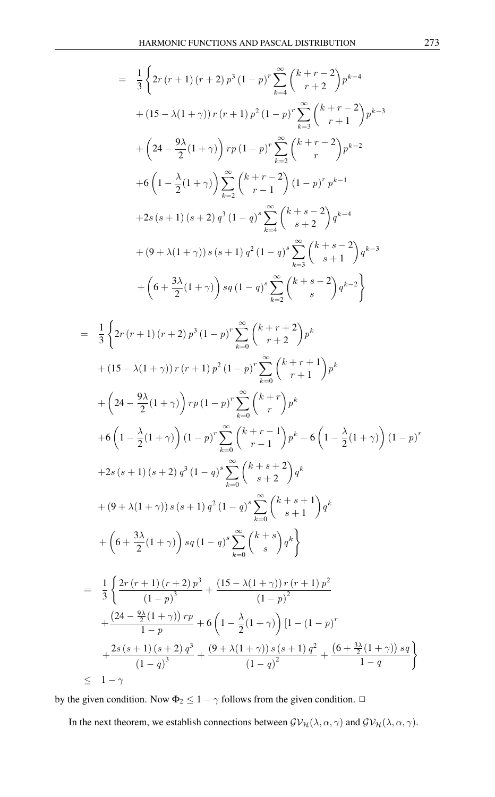$$
= \frac{1}{3} \left\{ 2r (r+1) (r+2) p^{3} (1-p)^{r} \sum_{k=4}^{\infty} {k+r-2 \choose r+2} p^{k-4} \right\}
$$
  
+  $(15 - \lambda(1+\gamma)) r (r+1) p^{2} (1-p)^{r} \sum_{k=3}^{\infty} {k+r-2 \choose r+1} p^{k-3}$   
+  $\left( 24 - \frac{9\lambda}{2} (1+\gamma) \right) rp (1-p)^{r} \sum_{k=2}^{\infty} {k+r-2 \choose r} p^{k-2}$   
+  $6 \left( 1 - \frac{\lambda}{2} (1+\gamma) \right) \sum_{k=2}^{\infty} {k+r-2 \choose r-1} (1-p)^{r} p^{k-1}$   
+  $2s (s+1) (s+2) q^{3} (1-q)^{s} \sum_{k=4}^{\infty} {k+s-2 \choose s+2} q^{k-4}$   
+  $(9 + \lambda(1+\gamma)) s (s+1) q^{2} (1-q)^{s} \sum_{k=3}^{\infty} {k+s-2 \choose s+1} q^{k-3}$   
+  $\left( 6 + \frac{3\lambda}{2} (1+\gamma) \right) sq (1-q)^{s} \sum_{k=2}^{\infty} {k+s-2 \choose s} q^{k-2}$   
 $\frac{1}{3} \left\{ 2r (r+1) (r+2) p^{3} (1-p)^{r} \sum_{k=0}^{\infty} {k+r+2 \choose r+2} p^{k} + (15 - \lambda(1+\gamma)) r (r+1) p^{2} (1-p)^{r} \sum_{k=0}^{\infty} {k+r+1 \choose r+1} p^{k} \right\}$ 

=

+ 
$$
\left(24 - \frac{9\lambda}{2}(1+\gamma)\right)rp(1-p)^{r}\sum_{k=0}^{\infty} {k+r \choose r}p^{k}
$$
  
+  $6\left(1 - \frac{\lambda}{2}(1+\gamma)\right)(1-p)^{r}\sum_{k=0}^{\infty} {k+r-1 \choose r-1}p^{k} - 6\left(1 - \frac{\lambda}{2}(1+\gamma)\right)(1-p)^{r}$   
+  $2s(s+1)(s+2)q^{3}(1-q)^{s}\sum_{k=0}^{\infty} {k+s+2 \choose s+2}q^{k}$   
+  $(9+\lambda(1+\gamma))s(s+1)q^{2}(1-q)^{s}\sum_{k=0}^{\infty} {k+s+1 \choose s+1}q^{k}$   
+  $\left(6 + \frac{3\lambda}{2}(1+\gamma)\right)sq(1-q)^{s}\sum_{k=0}^{\infty} {k+s \choose s}q^{k}$   
=  $\frac{1}{3}\left\{\frac{2r(r+1)(r+2)p^{3}}{(1-p)^{3}} + \frac{(15-\lambda(1+\gamma))r(r+1)p^{2}}{(1-p)^{2}} + \frac{(24-\frac{9\lambda}{2}(1+\gamma))rp}{1-p} + 6\left(1 - \frac{\lambda}{2}(1+\gamma)\right)[1 - (1-p)^{r}] \right\}$ 

$$
+\frac{2s(s+1)(s+2) q^3}{(1-q)^3} + \frac{(9+\lambda(1+\gamma)) s (s+1) q^2}{(1-q)^2} + \frac{(6+\frac{3\lambda}{2}(1+\gamma)) s q}{1-q}
$$
  
 
$$
\leq 1-\gamma
$$

by the given condition. Now  $\Phi_2 \leq 1 - \gamma$  follows from the given condition.  $\Box$ 

In the next theorem, we establish connections between  $\mathcal{GV}_{\mathcal{H}}(\lambda,\alpha,\gamma)$  and  $\mathcal{GV}_{\mathcal{H}}(\lambda,\alpha,\gamma)$ .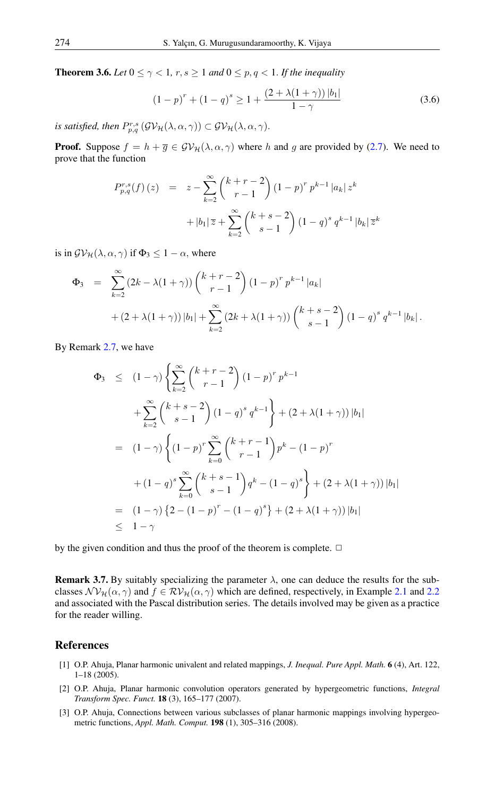**Theorem 3.6.** *Let*  $0 \le \gamma < 1$ ,  $r, s \ge 1$  *and*  $0 \le p, q < 1$ . *If the inequality* 

$$
(1-p)^{r} + (1-q)^{s} \ge 1 + \frac{(2+\lambda(1+\gamma))|b_1|}{1-\gamma}
$$
\n(3.6)

*is satisfied, then*  $P_{p,q}^{r,s}\left(\mathcal{G}\mathcal{V}_{\mathcal{H}}(\lambda,\alpha,\gamma)\right) \subset \mathcal{G}\mathcal{V}_{\mathcal{H}}(\lambda,\alpha,\gamma).$ 

**Proof.** Suppose  $f = h + \overline{g} \in \mathcal{GV}_{\mathcal{H}}(\lambda, \alpha, \gamma)$  where h and g are provided by [\(2.7\)](#page-1-1). We need to prove that the function

$$
P_{p,q}^{r,s}(f)(z) = z - \sum_{k=2}^{\infty} {k+r-2 \choose r-1} (1-p)^r p^{k-1} |a_k| z^k
$$
  
+  $|b_1| \overline{z} + \sum_{k=2}^{\infty} {k+s-2 \choose s-1} (1-q)^s q^{k-1} |b_k| \overline{z}^k$ 

is in  $\mathcal{GV}_{\mathcal{H}}(\lambda,\alpha,\gamma)$  if  $\Phi_3 \leq 1-\alpha$ , where

$$
\Phi_3 = \sum_{k=2}^{\infty} (2k - \lambda(1+\gamma)) \binom{k+r-2}{r-1} (1-p)^r p^{k-1} |a_k| + (2 + \lambda(1+\gamma)) |b_1| + \sum_{k=2}^{\infty} (2k + \lambda(1+\gamma)) \binom{k+s-2}{s-1} (1-q)^s q^{k-1} |b_k|.
$$

By Remark [2.7,](#page-2-0) we have

$$
\Phi_3 \le (1-\gamma) \left\{ \sum_{k=2}^{\infty} {k+r-2 \choose r-1} (1-p)^r p^{k-1} \right\}
$$
  
+ 
$$
\sum_{k=2}^{\infty} {k+s-2 \choose s-1} (1-q)^s q^{k-1} + (2+\lambda(1+\gamma)) |b_1|
$$
  
= 
$$
(1-\gamma) \left\{ (1-p)^r \sum_{k=0}^{\infty} {k+r-1 \choose r-1} p^k - (1-p)^r \right\}
$$
  
+ 
$$
(1-q)^s \sum_{k=0}^{\infty} {k+s-1 \choose s-1} q^k - (1-q)^s \right\} + (2+\lambda(1+\gamma)) |b_1|
$$
  
= 
$$
(1-\gamma) \left\{ 2 - (1-p)^r - (1-q)^s \right\} + (2+\lambda(1+\gamma)) |b_1|
$$
  
\$\leq 1-\gamma\$

by the given condition and thus the proof of the theorem is complete.  $\Box$ 

**Remark 3.7.** By suitably specializing the parameter  $\lambda$ , one can deduce the results for the subclasses  $\mathcal{NV}_{\mathcal{H}}(\alpha, \gamma)$  and  $f \in \mathcal{RV}_{\mathcal{H}}(\alpha, \gamma)$  which are defined, respectively, in Example [2.1](#page-1-2) and [2.2](#page-1-3) and associated with the Pascal distribution series. The details involved may be given as a practice for the reader willing.

## <span id="page-7-0"></span>References

- <span id="page-7-1"></span>[1] O.P. Ahuja, Planar harmonic univalent and related mappings, *J. Inequal. Pure Appl. Math.* 6 (4), Art. 122, 1–18 (2005).
- <span id="page-7-2"></span>[2] O.P. Ahuja, Planar harmonic convolution operators generated by hypergeometric functions, *Integral Transform Spec. Funct.* 18 (3), 165–177 (2007).
- <span id="page-7-3"></span>[3] O.P. Ahuja, Connections between various subclasses of planar harmonic mappings involving hypergeometric functions, *Appl. Math. Comput.* 198 (1), 305–316 (2008).